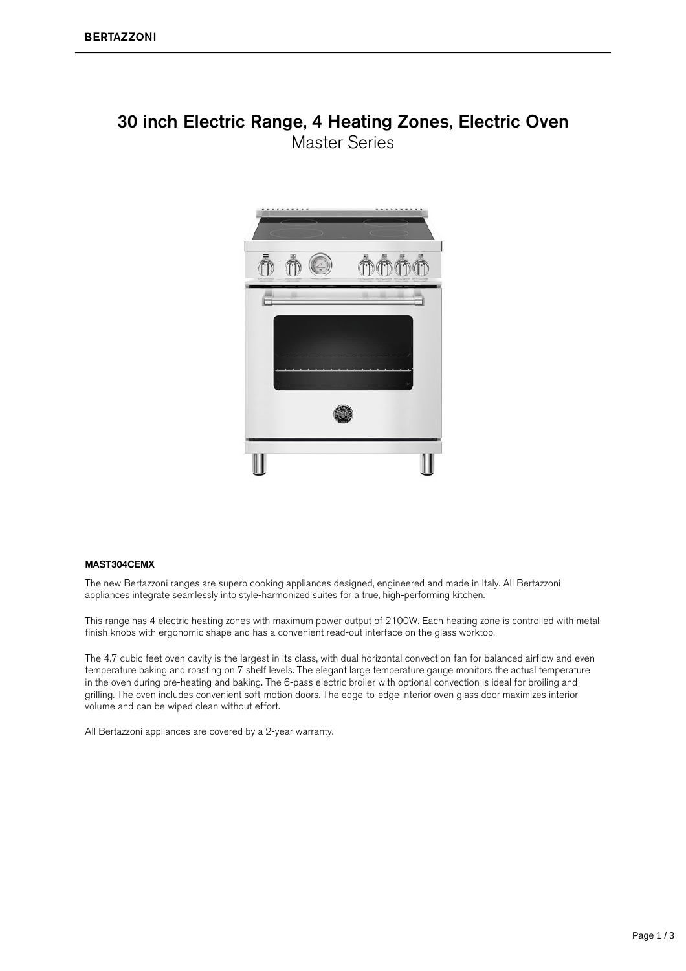### 30 inch Electric Range, 4 Heating Zones, Electric Oven **Master Series**



#### MAST304CEMX

The new Bertazzoni ranges are superb cooking appliances designed, engineered and made in Italy. All Bertazzoni appliances integrate seamlessly into style-harmonized suites for a true, high-performing kitchen.

This range has 4 electric heating zones with maximum power output of 2100W. Each heating zone is controlled with metal finish knobs with ergonomic shape and has a convenient read-out interface on the glass worktop.

The 4.7 cubic feet oven cavity is the largest in its class, with dual horizontal convection fan for balanced airflow and even temperature baking and roasting on 7 shelf levels. The elegant large temperature gauge monitors the actual temperature in the oven during pre-heating and baking. The 6-pass electric broiler with optional convection is ideal for broiling and grilling. The oven includes convenient soft-motion doors. The edge-to-edge interior oven glass door maximizes interior volume and can be wiped clean without effort.

All Bertazzoni appliances are covered by a 2-year warranty.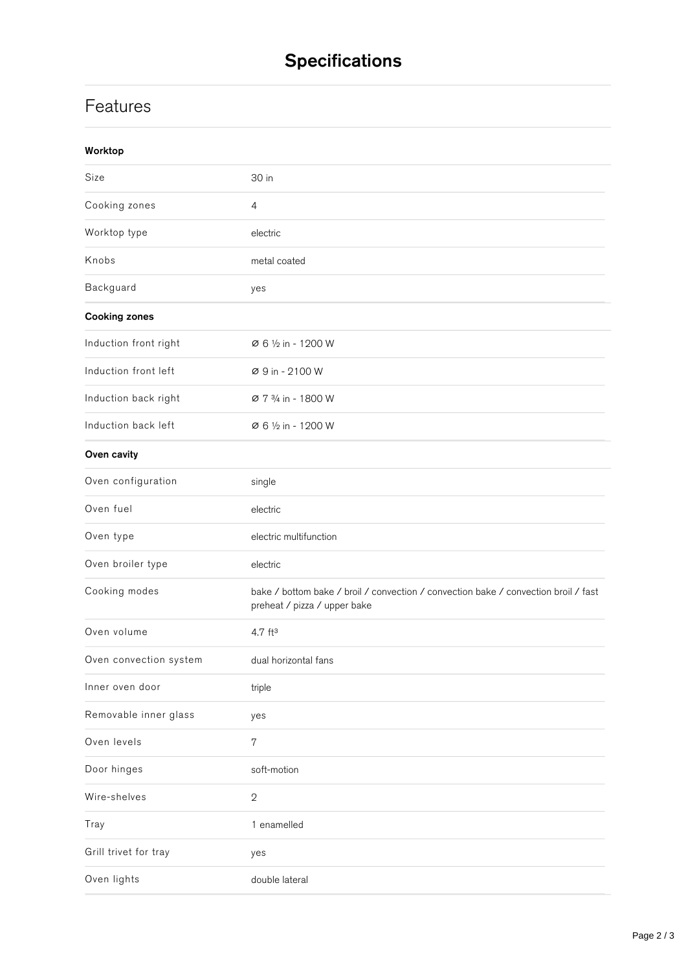# **Specifications**

## **Features**

| Worktop                |                                                                                                                     |
|------------------------|---------------------------------------------------------------------------------------------------------------------|
| Size                   | 30 in                                                                                                               |
| Cooking zones          | $\overline{4}$                                                                                                      |
| Worktop type           | electric                                                                                                            |
| Knobs                  | metal coated                                                                                                        |
| Backguard              | yes                                                                                                                 |
| <b>Cooking zones</b>   |                                                                                                                     |
| Induction front right  | Ø 6 1/2 in - 1200 W                                                                                                 |
| Induction front left   | Ø 9 in - 2100 W                                                                                                     |
| Induction back right   | Ø 7 3/4 in - 1800 W                                                                                                 |
| Induction back left    | Ø 6 1/2 in - 1200 W                                                                                                 |
| Oven cavity            |                                                                                                                     |
| Oven configuration     | single                                                                                                              |
| Oven fuel              | electric                                                                                                            |
| Oven type              | electric multifunction                                                                                              |
| Oven broiler type      | electric                                                                                                            |
| Cooking modes          | bake / bottom bake / broil / convection / convection bake / convection broil / fast<br>preheat / pizza / upper bake |
| Oven volume            | $4.7$ ft <sup>3</sup>                                                                                               |
| Oven convection system | dual horizontal fans                                                                                                |
| Inner oven door        | triple                                                                                                              |
| Removable inner glass  | yes                                                                                                                 |
| Oven levels            | 7                                                                                                                   |
| Door hinges            | soft-motion                                                                                                         |
| Wire-shelves           | $\sqrt{2}$                                                                                                          |
| Tray                   | 1 enamelled                                                                                                         |
| Grill trivet for tray  | yes                                                                                                                 |
| Oven lights            | double lateral                                                                                                      |